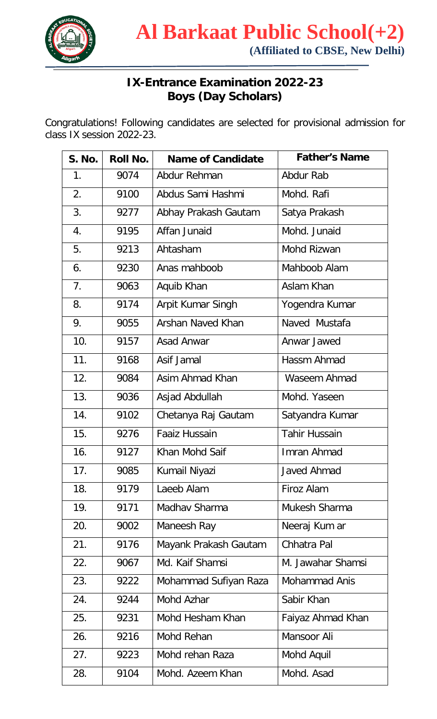

## **IX-Entrance Examination 2022-23 Boys (Day Scholars)**

Congratulations! Following candidates are selected for provisional admission for class IX session 2022-23.

| <b>S. No.</b> | <b>Roll No.</b> | <b>Name of Candidate</b> | <b>Father's Name</b> |
|---------------|-----------------|--------------------------|----------------------|
| 1.            | 9074            | Abdur Rehman             | Abdur Rab            |
| 2.            | 9100            | Abdus Sami Hashmi        | Mohd. Rafi           |
| 3.            | 9277            | Abhay Prakash Gautam     | Satya Prakash        |
| 4.            | 9195            | Affan Junaid             | Mohd. Junaid         |
| 5.            | 9213            | Ahtasham                 | Mohd Rizwan          |
| 6.            | 9230            | Anas mahboob             | Mahboob Alam         |
| 7.            | 9063            | Aquib Khan               | Aslam Khan           |
| 8.            | 9174            | Arpit Kumar Singh        | Yogendra Kumar       |
| 9.            | 9055            | <b>Arshan Naved Khan</b> | Naved Mustafa        |
| 10.           | 9157            | <b>Asad Anwar</b>        | Anwar Jawed          |
| 11.           | 9168            | Asif Jamal               | Hassm Ahmad          |
| 12.           | 9084            | Asim Ahmad Khan          | Waseem Ahmad         |
| 13.           | 9036            | Asjad Abdullah           | Mohd. Yaseen         |
| 14.           | 9102            | Chetanya Raj Gautam      | Satyandra Kumar      |
| 15.           | 9276            | <b>Faaiz Hussain</b>     | <b>Tahir Hussain</b> |
| 16.           | 9127            | Khan Mohd Saif           | Imran Ahmad          |
| 17.           | 9085            | Kumail Niyazi            | Javed Ahmad          |
| 18.           | 9179            | Laeeb Alam               | Firoz Alam           |
| 19.           | 9171            | Madhay Sharma            | Mukesh Sharma        |
| 20.           | 9002            | Maneesh Ray              | Neeraj Kum ar        |
| 21.           | 9176            | Mayank Prakash Gautam    | Chhatra Pal          |
| 22.           | 9067            | Md. Kaif Shamsi          | M. Jawahar Shamsi    |
| 23.           | 9222            | Mohammad Sufiyan Raza    | <b>Mohammad Anis</b> |
| 24.           | 9244            | Mohd Azhar               | Sabir Khan           |
| 25.           | 9231            | Mohd Hesham Khan         | Faiyaz Ahmad Khan    |
| 26.           | 9216            | Mohd Rehan               | Mansoor Ali          |
| 27.           | 9223            | Mohd rehan Raza          | Mohd Aquil           |
| 28.           | 9104            | Mohd. Azeem Khan         | Mohd. Asad           |